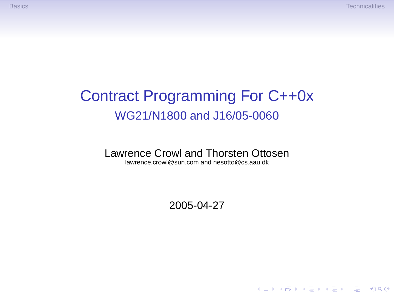**KORKA STRAIN STRAIN** 

## Contract Programming For C++0x WG21/N1800 and J16/05-0060

### Lawrence Crowl and Thorsten Ottosen

lawrence.crowl@sun.com and nesotto@cs.aau.dk

### 2005-04-27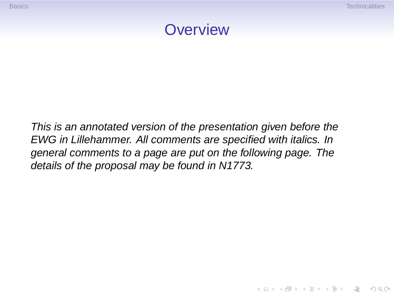K ロ ▶ K @ ▶ K 할 > K 할 > 1 할 > 1 이익어



This is an annotated version of the presentation given before the EWG in Lillehammer. All comments are specified with italics. In general comments to a page are put on the following page. The details of the proposal may be found in N1773.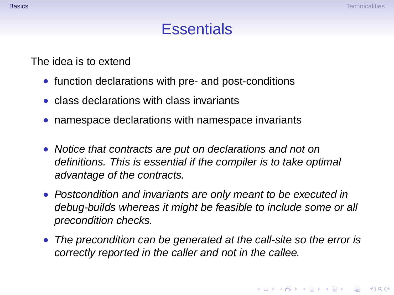### **Essentials**

The idea is to extend

- function declarations with pre- and post-conditions
- class declarations with class invariants
- namespace declarations with namespace invariants
- Notice that contracts are put on declarations and not on definitions. This is essential if the compiler is to take optimal advantage of the contracts.
- Postcondition and invariants are only meant to be executed in debug-builds whereas it might be feasible to include some or all precondition checks.
- <span id="page-2-0"></span>• The precondition can be generated at the call-site so the error is correctly reported in the caller and not in the callee.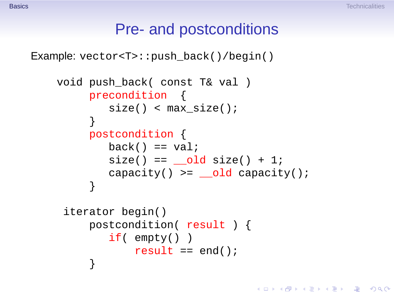KOD KAP KED KED E VAQ

### Pre- and postconditions

```
Example: vector<T>::push_back()/begin()
```

```
void push_back( const T& val )
    precondition {
        size() < max size();
     }
    postcondition {
        back() == val;size() == old size() + 1;capacity() >= old capacity();
     }
 iterator begin()
    postcondition( result ) {
        if( empty() )
            result == end();
     }
```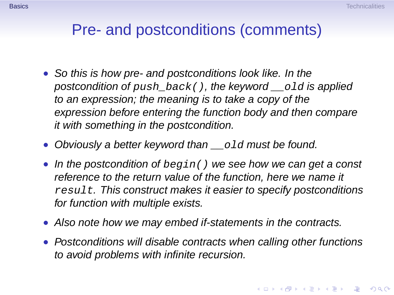### Pre- and postconditions (comments)

- So this is how pre- and postconditions look like. In the postcondition of push  $back()$ , the keyword  $\Box$  old is applied to an expression; the meaning is to take a copy of the expression before entering the function body and then compare it with something in the postcondition.
- Obviously a better keyword than old must be found.
- In the postcondition of  $begin($  ) we see how we can get a const reference to the return value of the function, here we name it result. This construct makes it easier to specify postconditions for function with multiple exists.
- Also note how we may embed if-statements in the contracts.
- Postconditions will disable contracts when calling other functions to avoid problems with infinite recursion.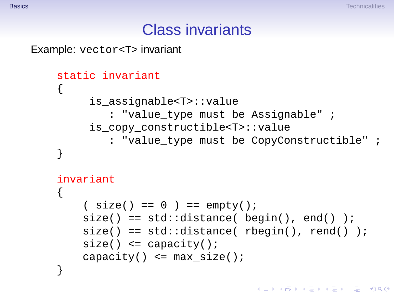**A DIA 4 DIA 4 DIA 4 DIA 4 DIA 4 DIA 4 DIA 4 DIA 4 DIA 4 DIA 4 DIA 4 DIA 4 DIA 4 DIA 4 DIA 4 DIA 4 DIA 4 DIA 4 DIA 4 DIA 4 DIA 4 DIA 4 DIA 4 DIA 4 DIA 4 DIA 4 DIA 4 DIA 4 DIA 4 DIA 4 DIA 4 DIA 4 DIA 4 DIA 4 DIA 4 DIA 4 DIA** 

### Class invariants

Example: vector<T> invariant

```
static invariant
{
     is_assignable<T>::value
        : "value type must be Assignable" ;
     is_copy_constructible<T>::value
        : "value type must be CopyConstructible" ;
}
invariant
{
    (size() == 0 ) == empty();
    size() == std::distance( begin(), end() );
    size() == std::distance('rbegin(), rend() );
    size() \leq capacity()capacity() \leq max size();
}
```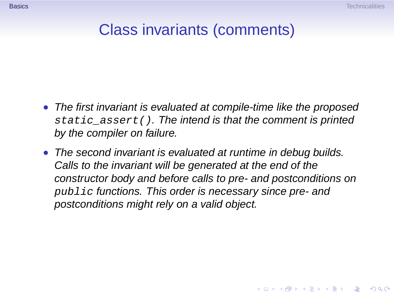**A DIA 4 DIA 4 DIA 4 DIA 4 DIA 4 DIA 4 DIA 4 DIA 4 DIA 4 DIA 4 DIA 4 DIA 4 DIA 4 DIA 4 DIA 4 DIA 4 DIA 4 DIA 4 DIA 4 DIA 4 DIA 4 DIA 4 DIA 4 DIA 4 DIA 4 DIA 4 DIA 4 DIA 4 DIA 4 DIA 4 DIA 4 DIA 4 DIA 4 DIA 4 DIA 4 DIA 4 DIA** 

## Class invariants (comments)

- The first invariant is evaluated at compile-time like the proposed static\_assert(). The intend is that the comment is printed by the compiler on failure.
- The second invariant is evaluated at runtime in debug builds. Calls to the invariant will be generated at the end of the constructor body and before calls to pre- and postconditions on public functions. This order is necessary since pre- and postconditions might rely on a valid object.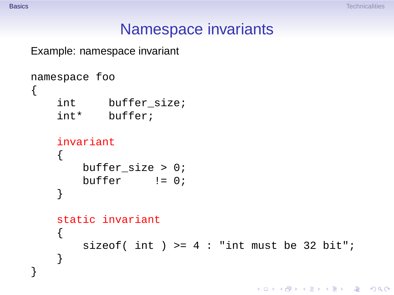K ロ ▶ K @ ▶ K 할 > K 할 > 1 할 > 1 이익어

### Namespace invariants

Example: namespace invariant

```
namespace foo
{
    int buffer size;
    int* buffer;
    invariant
    {
       buffer_size > 0;
       buffer != 0;
    }
    static invariant
    {
        sizeof( int ) >= 4: "int must be 32 bit";
    }
}
```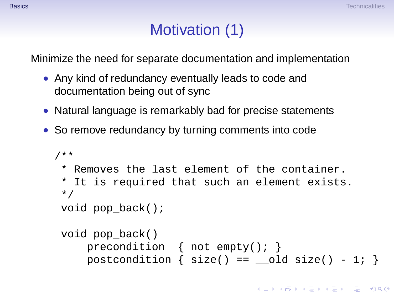**KORKAPA CERKER OQO** 

# Motivation (1)

Minimize the need for separate documentation and implementation

- Any kind of redundancy eventually leads to code and documentation being out of sync
- Natural language is remarkably bad for precise statements
- So remove redundancy by turning comments into code

```
/**
* Removes the last element of the container.
 * It is required that such an element exists.
 */
void pop back();
void pop_back()
    precondition { not empty(); }
    postcondition \{ size() == old size() - 1; \}
```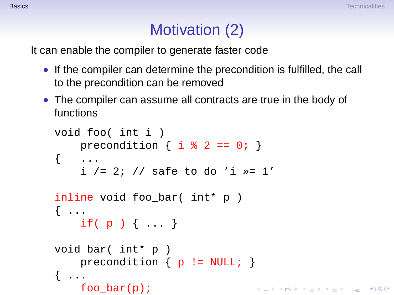# Motivation (2)

It can enable the compiler to generate faster code

- If the compiler can determine the precondition is fulfilled, the call to the precondition can be removed
- The compiler can assume all contracts are true in the body of functions

```
void foo( int i )
    precondition \{ i \, \hat{\ast} \, 2 == 0; \}\{ \quad \dots \quadi / = 2; // safe to do 'i >= 1'inline void foo_bar( int* p )
\{ \ldotsif( p ) { ... }
void bar( int* p )
    precondition \{ p := NULL \}\{ \ldots \}foo\_bar(p);
                                      KORKAPA CERKER OQO
```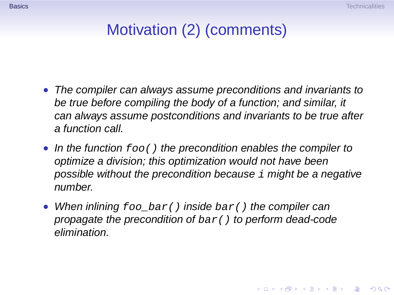# Motivation (2) (comments)

- The compiler can always assume preconditions and invariants to be true before compiling the body of a function; and similar, it can always assume postconditions and invariants to be true after a function call.
- In the function  $foo()$  the precondition enables the compiler to optimize a division; this optimization would not have been possible without the precondition because  $\pm$  might be a negative number.
- When inlining  $foo_bar()$  inside  $bar()$  the compiler can propagate the precondition of  $bar()$  to perform dead-code elimination.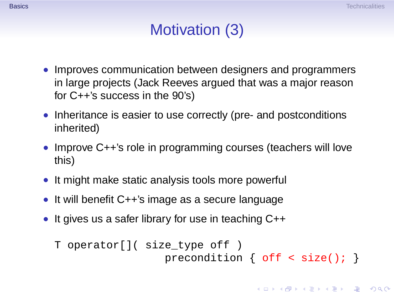# Motivation (3)

- Improves communication between designers and programmers in large projects (Jack Reeves argued that was a major reason for C++'s success in the 90's)
- Inheritance is easier to use correctly (pre- and postconditions inherited)
- Improve C++'s role in programming courses (teachers will love this)
- It might make static analysis tools more powerful
- It will benefit C++'s image as a secure language
- It gives us a safer library for use in teaching C++

```
T operator[]( size_type off )
                 precondition { off < size(); }
```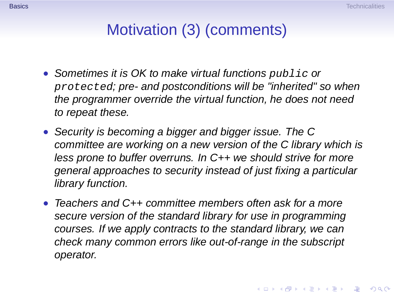# Motivation (3) (comments)

- Sometimes it is OK to make virtual functions public or protected; pre- and postconditions will be "inherited" so when the programmer override the virtual function, he does not need to repeat these.
- Security is becoming a bigger and bigger issue. The C committee are working on a new version of the C library which is less prone to buffer overruns. In C++ we should strive for more general approaches to security instead of just fixing a particular library function.
- Teachers and C++ committee members often ask for a more secure version of the standard library for use in programming courses. If we apply contracts to the standard library, we can check many common errors like out-of-range in the subscript operator.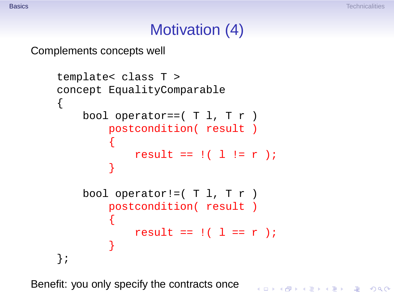**KORKA STRAIN STRAIN** 

### Motivation (4)

### Complements concepts well

```
template< class T >
concept EqualityComparable
{
    bool operator == (T 1, T r)postcondition( result )
        {
            result == ! (1 != r);
        }
    bool operator!=(T 1, T r)postcondition( result )
        {
            result == ! ( l == r );
        }
};
```
Benefit: you only specify the contracts once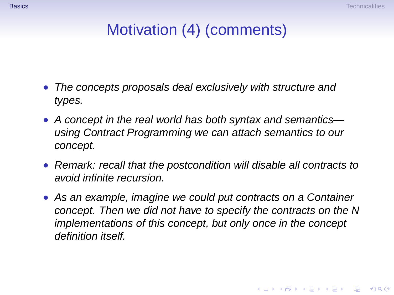# Motivation (4) (comments)

- The concepts proposals deal exclusively with structure and types.
- A concept in the real world has both syntax and semantics using Contract Programming we can attach semantics to our concept.
- Remark: recall that the postcondition will disable all contracts to avoid infinite recursion.
- As an example, imagine we could put contracts on a Container concept. Then we did not have to specify the contracts on the N implementations of this concept, but only once in the concept definition itself.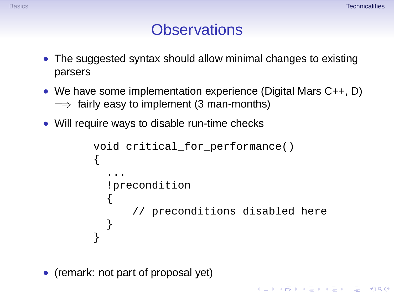KOD KAP KED KED E VAQ

## **Observations**

- The suggested syntax should allow minimal changes to existing parsers
- We have some implementation experience (Digital Mars C++, D)  $\implies$  fairly easy to implement (3 man-months)
- Will require ways to disable run-time checks

```
void critical for performance()
{
  ...
  !precondition
  {
      // preconditions disabled here
  }
}
```
<span id="page-15-0"></span>• (remark: not part of proposal yet)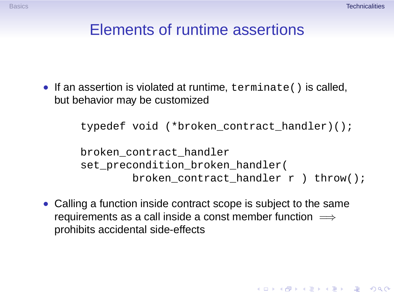## Elements of runtime assertions

• If an assertion is violated at runtime, terminate() is called, but behavior may be customized

typedef void (\*broken\_contract\_handler)();

```
broken_contract_handler
set precondition broken handler(
        broken contract handler r ) throw();
```
• Calling a function inside contract scope is subject to the same requirements as a call inside a const member function  $\implies$ prohibits accidental side-effects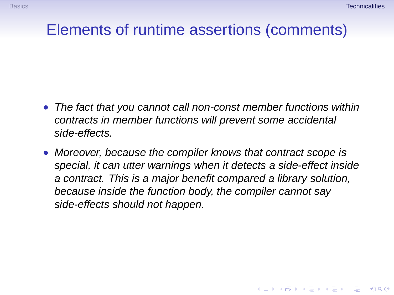**A DIA 4 DIA 4 DIA 4 DIA 4 DIA 4 DIA 4 DIA 4 DIA 4 DIA 4 DIA 4 DIA 4 DIA 4 DIA 4 DIA 4 DIA 4 DIA 4 DIA 4 DIA 4 DIA 4 DIA 4 DIA 4 DIA 4 DIA 4 DIA 4 DIA 4 DIA 4 DIA 4 DIA 4 DIA 4 DIA 4 DIA 4 DIA 4 DIA 4 DIA 4 DIA 4 DIA 4 DIA** 

### Elements of runtime assertions (comments)

- The fact that you cannot call non-const member functions within contracts in member functions will prevent some accidental side-effects.
- Moreover, because the compiler knows that contract scope is special, it can utter warnings when it detects a side-effect inside a contract. This is a major benefit compared a library solution, because inside the function body, the compiler cannot say side-effects should not happen.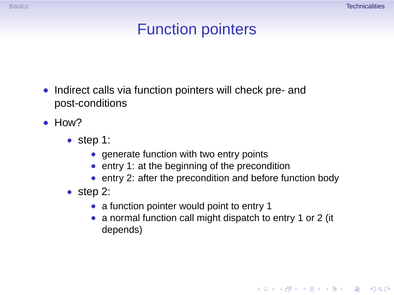# Function pointers

- Indirect calls via function pointers will check pre- and post-conditions
- How?
	- step 1:
		- generate function with two entry points
		- entry 1: at the beginning of the precondition
		- entry 2: after the precondition and before function body
	- step 2:
		- a function pointer would point to entry 1
		- a normal function call might dispatch to entry 1 or 2 (it depends)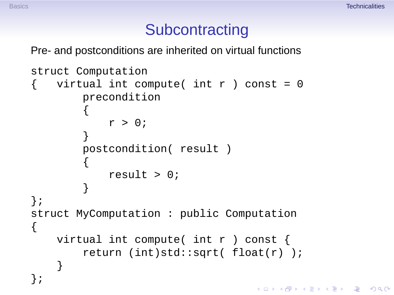KOD KAP KED KED E VAQ

### **Subcontracting**

Pre- and postconditions are inherited on virtual functions

```
struct Computation
   virtual int compute( int r ) const = 0precondition
        {
            r > 0;}
        postcondition( result )
        {
            result > 0;
        }
};
struct MyComputation : public Computation
{
    virtual int compute( int r ) const {
        return (int)std::sqrt( float(r) );
    }
};
```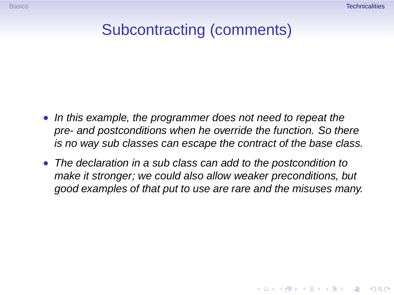**KORKAPA CERKER OQO** 

## Subcontracting (comments)

- In this example, the programmer does not need to repeat the pre- and postconditions when he override the function. So there is no way sub classes can escape the contract of the base class.
- The declaration in a sub class can add to the postcondition to make it stronger; we could also allow weaker preconditions, but good examples of that put to use are rare and the misuses many.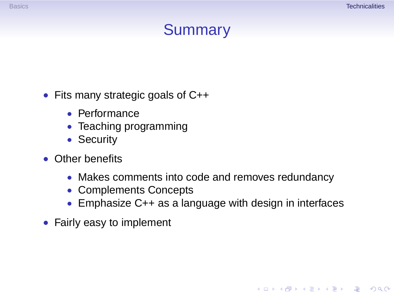KOD KAP KED KED E VAQ

# Summary

### • Fits many strategic goals of C++

- Performance
- Teaching programming
- Security
- Other benefits
	- Makes comments into code and removes redundancy
	- Complements Concepts
	- Emphasize C++ as a language with design in interfaces
- Fairly easy to implement